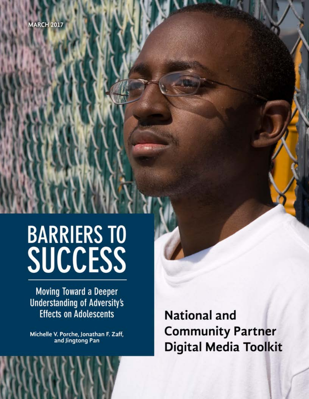# **BARRIERS TO** SUCCESS

**Moving Toward a Deeper Understanding of Adversity's Effects on Adolescents** 

Michelle V. Porche, Jonathan F. Zaff, and Jingtong Pan

**National and Community Partner Digital Media Toolkit**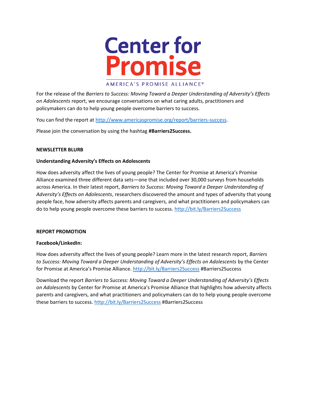

For the release of the *Barriers to Success: Moving Toward a Deeper Understanding of Adversity's Effects on Adolescents* report, we encourage conversations on what caring adults, practitioners and policymakers can do to help young people overcome barriers to success.

You can find the report at [http://www.americaspromise.org/report/barriers-success.](http://www.americaspromise.org/report/barriers-success)

Please join the conversation by using the hashtag **#Barriers2Success.**

## **NEWSLETTER BLURB**

## **Understanding Adversity's Effects on Adolescents**

How does adversity affect the lives of young people? The Center for Promise at America's Promise Alliance examined three different data sets—one that included over 30,000 surveys from households across America. In their latest report, *Barriers to Success: Moving Toward a Deeper Understanding of Adversity's Effects on Adolescents*, researchers discovered the amount and types of adversity that young people face, how adversity affects parents and caregivers, and what practitioners and policymakers can do to help young people overcome these barriers to success.<http://bit.ly/Barriers2Success>

#### **REPORT PROMOTION**

#### **Facebook/LinkedIn:**

How does adversity affect the lives of young people? Learn more in the latest research report, *Barriers to Success: Moving Toward a Deeper Understanding of Adversity's Effects on Adolescents* by the Center for Promise at America's Promise Alliance. <http://bit.ly/Barriers2Success> #Barriers2Success

Download the report *Barriers to Success: Moving Toward a Deeper Understanding of Adversity's Effects on Adolescents* by Center for Promise at America's Promise Alliance that highlights how adversity affects parents and caregivers, and what practitioners and policymakers can do to help young people overcome these barriers to success.<http://bit.ly/Barriers2Success> #Barriers2Success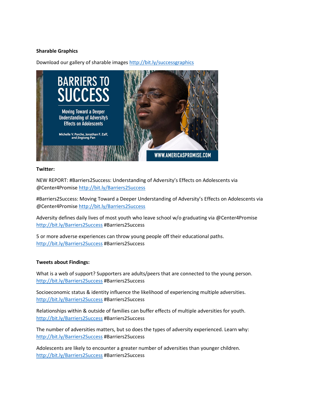# **Sharable Graphics**

Download our gallery of sharable image[s http://bit.ly/successgraphics](http://bit.ly/successgraphics)



## **Twitter:**

NEW REPORT: #Barriers2Success: Understanding of Adversity's Effects on Adolescents via @Center4Promise<http://bit.ly/Barriers2Success>

#Barriers2Success: Moving Toward a Deeper Understanding of Adversity's Effects on Adolescents via @Center4Promise<http://bit.ly/Barriers2Success>

Adversity defines daily lives of most youth who leave school w/o graduating via @Center4Promise <http://bit.ly/Barriers2Success> #Barriers2Success

5 or more adverse experiences can throw young people off their educational paths. <http://bit.ly/Barriers2Success> #Barriers2Success

## **Tweets about Findings:**

What is a web of support? Supporters are adults/peers that are connected to the young person. <http://bit.ly/Barriers2Success> #Barriers2Success

Socioeconomic status & identity influence the likelihood of experiencing multiple adversities. <http://bit.ly/Barriers2Success> #Barriers2Success

Relationships within & outside of families can buffer effects of multiple adversities for youth. <http://bit.ly/Barriers2Success> #Barriers2Success

The number of adversities matters, but so does the types of adversity experienced. Learn why: <http://bit.ly/Barriers2Success> #Barriers2Success

Adolescents are likely to encounter a greater number of adversities than younger children. <http://bit.ly/Barriers2Success> #Barriers2Success